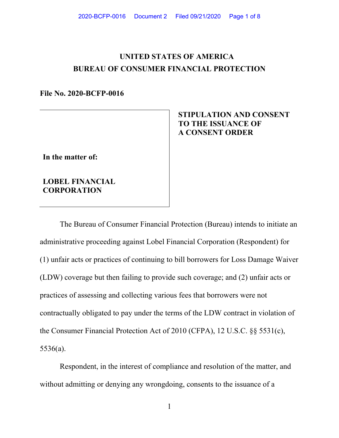# **UNITED STATES OF AMERICA BUREAU OF CONSUMER FINANCIAL PROTECTION**

#### **File No. 2020-BCFP-0016**

# **In the matter of:**

### **LOBEL FINANCIAL CORPORATION**

# **STIPULATION AND CONSENT TO THE ISSUANCE OF A CONSENT ORDER**

The Bureau of Consumer Financial Protection (Bureau) intends to initiate an administrative proceeding against Lobel Financial Corporation (Respondent) for (1) unfair acts or practices of continuing to bill borrowers for Loss Damage Waiver (LDW) coverage but then failing to provide such coverage; and (2) unfair acts or practices of assessing and collecting various fees that borrowers were not contractually obligated to pay under the terms of the LDW contract in violation of the Consumer Financial Protection Act of 2010 (CFPA), 12 U.S.C. §§ 5531(c), 5536(a).

Respondent, in the interest of compliance and resolution of the matter, and without admitting or denying any wrongdoing, consents to the issuance of a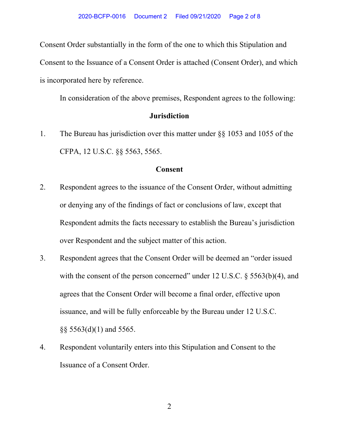Consent Order substantially in the form of the one to which this Stipulation and Consent to the Issuance of a Consent Order is attached (Consent Order), and which is incorporated here by reference.

In consideration of the above premises, Respondent agrees to the following:

## **Jurisdiction**

1. The Bureau has jurisdiction over this matter under §§ 1053 and 1055 of the CFPA, 12 U.S.C. §§ 5563, 5565.

### **Consent**

- 2. Respondent agrees to the issuance of the Consent Order, without admitting or denying any of the findings of fact or conclusions of law, except that Respondent admits the facts necessary to establish the Bureau's jurisdiction over Respondent and the subject matter of this action.
- 3. Respondent agrees that the Consent Order will be deemed an "order issued with the consent of the person concerned" under 12 U.S.C.  $\S$  5563(b)(4), and agrees that the Consent Order will become a final order, effective upon issuance, and will be fully enforceable by the Bureau under 12 U.S.C. §§ 5563(d)(1) and 5565.
- 4. Respondent voluntarily enters into this Stipulation and Consent to the Issuance of a Consent Order.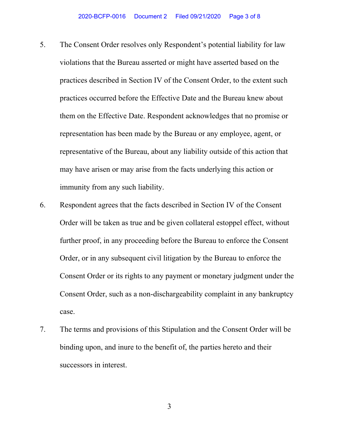- 5. The Consent Order resolves only Respondent's potential liability for law violations that the Bureau asserted or might have asserted based on the practices described in Section IV of the Consent Order, to the extent such practices occurred before the Effective Date and the Bureau knew about them on the Effective Date. Respondent acknowledges that no promise or representation has been made by the Bureau or any employee, agent, or representative of the Bureau, about any liability outside of this action that may have arisen or may arise from the facts underlying this action or immunity from any such liability.
- 6. Respondent agrees that the facts described in Section IV of the Consent Order will be taken as true and be given collateral estoppel effect, without further proof, in any proceeding before the Bureau to enforce the Consent Order, or in any subsequent civil litigation by the Bureau to enforce the Consent Order or its rights to any payment or monetary judgment under the Consent Order, such as a non-dischargeability complaint in any bankruptcy case.
- 7. The terms and provisions of this Stipulation and the Consent Order will be binding upon, and inure to the benefit of, the parties hereto and their successors in interest.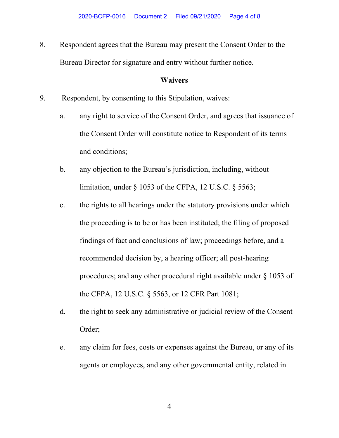8. Respondent agrees that the Bureau may present the Consent Order to the Bureau Director for signature and entry without further notice.

### **Waivers**

- 9. Respondent, by consenting to this Stipulation, waives:
	- a. any right to service of the Consent Order, and agrees that issuance of the Consent Order will constitute notice to Respondent of its terms and conditions;
	- b. any objection to the Bureau's jurisdiction, including, without limitation, under § 1053 of the CFPA, 12 U.S.C. § 5563;
	- c. the rights to all hearings under the statutory provisions under which the proceeding is to be or has been instituted; the filing of proposed findings of fact and conclusions of law; proceedings before, and a recommended decision by, a hearing officer; all post-hearing procedures; and any other procedural right available under § 1053 of the CFPA, 12 U.S.C. § 5563, or 12 CFR Part 1081;
	- d. the right to seek any administrative or judicial review of the Consent Order;
	- e. any claim for fees, costs or expenses against the Bureau, or any of its agents or employees, and any other governmental entity, related in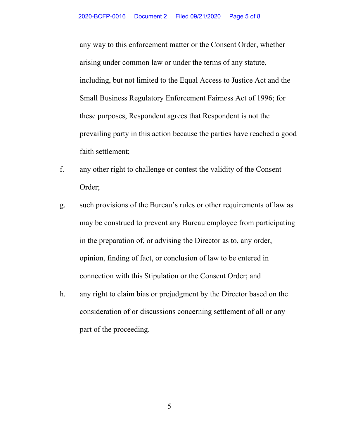any way to this enforcement matter or the Consent Order, whether arising under common law or under the terms of any statute, including, but not limited to the Equal Access to Justice Act and the Small Business Regulatory Enforcement Fairness Act of 1996; for these purposes, Respondent agrees that Respondent is not the prevailing party in this action because the parties have reached a good faith settlement;

- f. any other right to challenge or contest the validity of the Consent Order;
- g. such provisions of the Bureau's rules or other requirements of law as may be construed to prevent any Bureau employee from participating in the preparation of, or advising the Director as to, any order, opinion, finding of fact, or conclusion of law to be entered in connection with this Stipulation or the Consent Order; and
- h. any right to claim bias or prejudgment by the Director based on the consideration of or discussions concerning settlement of all or any part of the proceeding.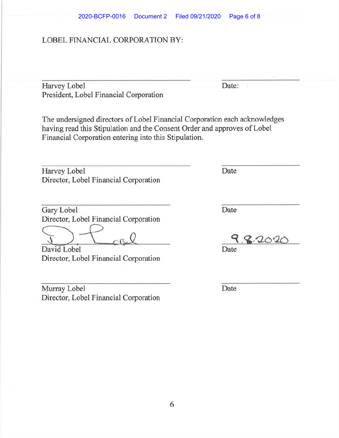#### LOBEL FINANCIAL CORPORATION BY:

Harvey Lobel Date: President, Lobel Financial Corporation

The undersigned directors of Lobel Financial Corporation each acknowledges having read this Stipulation and the Consent Order and approves of Lobel Financial Corporation entering into this Stipulation.

Harvey Lobel Date Director, Lobel Financial Corporation

Gary Lobel Date

Director, Lobel Financial Corporation

David Lobel Date Director, Lobel Financial Corporation

Murray Lobel Date Director, Lobel Financial Corporation

 $\lambda$ 

9.8.2020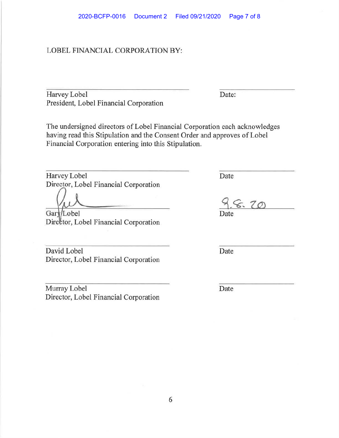#### LOBEL FINANCIAL CORPORATION BY:

Harvey Lobel Date: President, Lobel Financial Corporation

The undersigned directors of Lobel Financial Corporation each acknowledges having read this Stipulation and the Consent Order and approves of Lobel Financial Corporation entering into this Stipulation.

Harvey Lobel Date Director, Lobel Financial Corporation

Gary/Lobel

Director, Lobel Financial Corporation

David Lobel Date Director, Lobel Financial Corporation

Murray Lobel Date Director, Lobel Financial Corporation

 $6.70$ Date